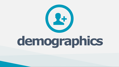# **demographics**

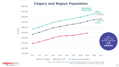## **Calgary and Region Population**





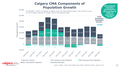

**Total Estimated Population Growth: 14,467** 8,533  $\begin{array}{|c|c|c|c|c|c|}\hline 16,995 & & & 12,106 & 14,187 & 18,273 & 17,355 \ \hline \end{array}$ 7,239 104 801 7,226 <sup>669</sup> 2,952 2,446 1,926 1,477 1,511 <sup>742</sup> 2,559 2,444 2,535 3,047 2,570 11,297 10,994 11,191 11,345 11,969 12,031 12,314 11,131 10,457 9,986 9,188 7,624  $-4,424$   $-5,620$   $-1,896$ -2,953 -1,477 2009-2010 2010-11 2012-2013 2014 2015 2016 2016 2017 2018 2019 2019-2019 2019 ■ Natural Increase Net Intraprovincial Migration Net Interprovincial Migration

## **Calgary CMA Components of Population Growth**



*In 2020/2021, 49.9% of migrants to Calgary were from international origins. Over the last 5 years,* 

*Source: Calgary Census Metropolitan Area (CMA), Statistics Canada, January 2022*

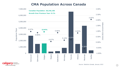





#### **CMA Population Across Canada**

*Source: Statistics Canada, January 2022*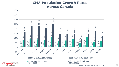



■ 5-Year Total Growth Rate (2016-2021)



■ 2020 Growth Rate (2019/2020) 2021 Growth Rate (2019/2020)

■ 10-Year Total Growth Rate (2011-2021)

#### **CMA Population Growth Rates Across Canada**

*Source: Statistics Canada, January 2022*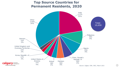



cal

### **Top Source Countries for Permanent Residents, 2020**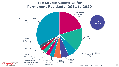



**Cary** economic cal development be part of the energy

## **Top Source Countries for Permanent Residents, 2011 to 2020**

*Source: Calgary CMA, IRCC, March 2021*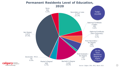





#### **Permanent Residents Level of Education, 2020**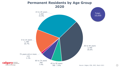

30 to 44 years 3,790 35.6%



45 to 59 years 785 7.4%

7.4%



### **Permanent Residents by Age Group 2020**

*Source: Calgary CMA, IRCC, March 2021*

Total:

10,650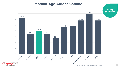



be part of the energy

#### **Median Age Across Canada**

*Source: Statistics Canada, January 2022*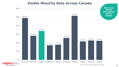94



60%



#### *Source: Census 2016, Statistics Canada*